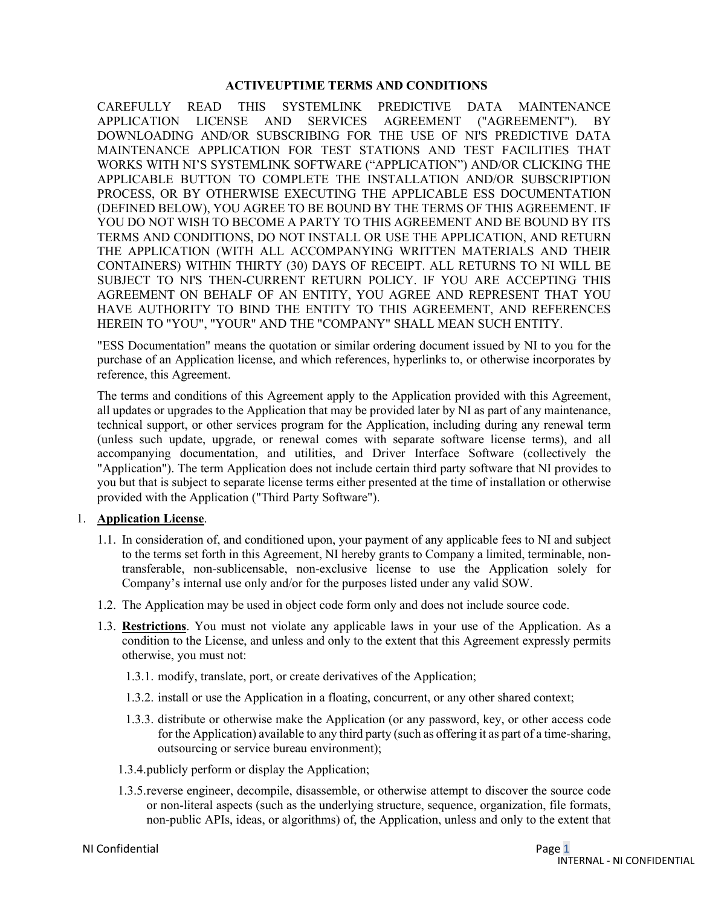### **ACTIVEUPTIME TERMS AND CONDITIONS**

CAREFULLY READ THIS SYSTEMLINK PREDICTIVE DATA MAINTENANCE APPLICATION LICENSE AND SERVICES AGREEMENT ("AGREEMENT"). BY DOWNLOADING AND/OR SUBSCRIBING FOR THE USE OF NI'S PREDICTIVE DATA MAINTENANCE APPLICATION FOR TEST STATIONS AND TEST FACILITIES THAT WORKS WITH NI'S SYSTEMLINK SOFTWARE ("APPLICATION") AND/OR CLICKING THE APPLICABLE BUTTON TO COMPLETE THE INSTALLATION AND/OR SUBSCRIPTION PROCESS, OR BY OTHERWISE EXECUTING THE APPLICABLE ESS DOCUMENTATION (DEFINED BELOW), YOU AGREE TO BE BOUND BY THE TERMS OF THIS AGREEMENT. IF YOU DO NOT WISH TO BECOME A PARTY TO THIS AGREEMENT AND BE BOUND BY ITS TERMS AND CONDITIONS, DO NOT INSTALL OR USE THE APPLICATION, AND RETURN THE APPLICATION (WITH ALL ACCOMPANYING WRITTEN MATERIALS AND THEIR CONTAINERS) WITHIN THIRTY (30) DAYS OF RECEIPT. ALL RETURNS TO NI WILL BE SUBJECT TO NI'S THEN-CURRENT RETURN POLICY. IF YOU ARE ACCEPTING THIS AGREEMENT ON BEHALF OF AN ENTITY, YOU AGREE AND REPRESENT THAT YOU HAVE AUTHORITY TO BIND THE ENTITY TO THIS AGREEMENT, AND REFERENCES HEREIN TO "YOU", "YOUR" AND THE "COMPANY" SHALL MEAN SUCH ENTITY.

"ESS Documentation" means the quotation or similar ordering document issued by NI to you for the purchase of an Application license, and which references, hyperlinks to, or otherwise incorporates by reference, this Agreement.

The terms and conditions of this Agreement apply to the Application provided with this Agreement, all updates or upgrades to the Application that may be provided later by NI as part of any maintenance, technical support, or other services program for the Application, including during any renewal term (unless such update, upgrade, or renewal comes with separate software license terms), and all accompanying documentation, and utilities, and Driver Interface Software (collectively the "Application"). The term Application does not include certain third party software that NI provides to you but that is subject to separate license terms either presented at the time of installation or otherwise provided with the Application ("Third Party Software").

### 1. **Application License**.

- 1.1. In consideration of, and conditioned upon, your payment of any applicable fees to NI and subject to the terms set forth in this Agreement, NI hereby grants to Company a limited, terminable, nontransferable, non-sublicensable, non-exclusive license to use the Application solely for Company's internal use only and/or for the purposes listed under any valid SOW.
- 1.2. The Application may be used in object code form only and does not include source code.
- 1.3. **Restrictions**. You must not violate any applicable laws in your use of the Application. As a condition to the License, and unless and only to the extent that this Agreement expressly permits otherwise, you must not:
	- 1.3.1. modify, translate, port, or create derivatives of the Application;
	- 1.3.2. install or use the Application in a floating, concurrent, or any other shared context;
	- 1.3.3. distribute or otherwise make the Application (or any password, key, or other access code for the Application) available to any third party (such as offering it as part of a time-sharing, outsourcing or service bureau environment);
	- 1.3.4.publicly perform or display the Application;
	- 1.3.5.reverse engineer, decompile, disassemble, or otherwise attempt to discover the source code or non-literal aspects (such as the underlying structure, sequence, organization, file formats, non-public APIs, ideas, or algorithms) of, the Application, unless and only to the extent that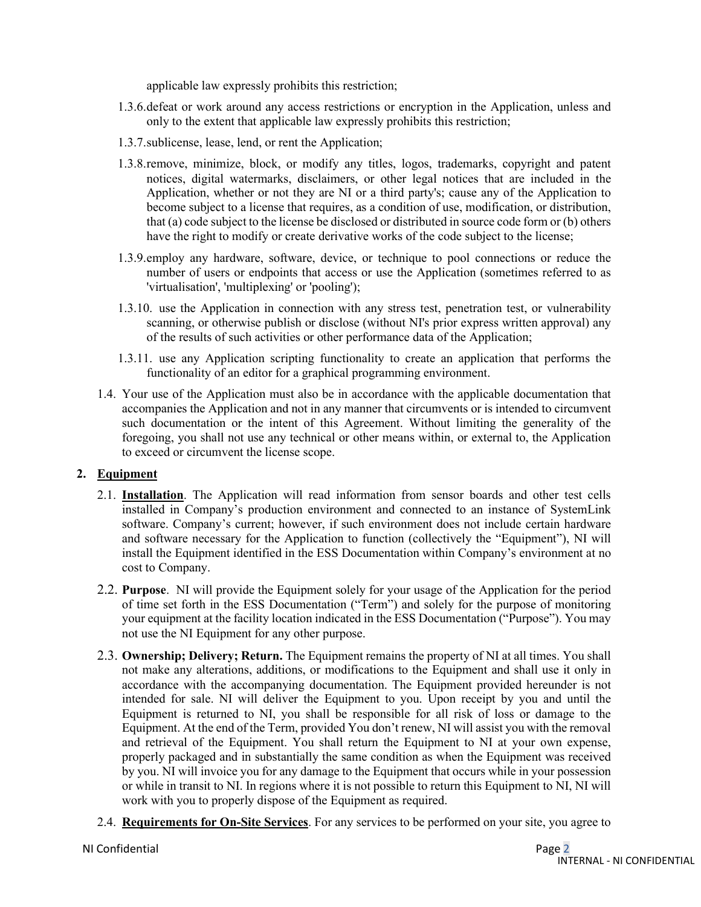applicable law expressly prohibits this restriction;

- 1.3.6.defeat or work around any access restrictions or encryption in the Application, unless and only to the extent that applicable law expressly prohibits this restriction;
- 1.3.7.sublicense, lease, lend, or rent the Application;
- 1.3.8.remove, minimize, block, or modify any titles, logos, trademarks, copyright and patent notices, digital watermarks, disclaimers, or other legal notices that are included in the Application, whether or not they are NI or a third party's; cause any of the Application to become subject to a license that requires, as a condition of use, modification, or distribution, that (a) code subject to the license be disclosed or distributed in source code form or (b) others have the right to modify or create derivative works of the code subject to the license;
- 1.3.9.employ any hardware, software, device, or technique to pool connections or reduce the number of users or endpoints that access or use the Application (sometimes referred to as 'virtualisation', 'multiplexing' or 'pooling');
- 1.3.10. use the Application in connection with any stress test, penetration test, or vulnerability scanning, or otherwise publish or disclose (without NI's prior express written approval) any of the results of such activities or other performance data of the Application;
- 1.3.11. use any Application scripting functionality to create an application that performs the functionality of an editor for a graphical programming environment.
- 1.4. Your use of the Application must also be in accordance with the applicable documentation that accompanies the Application and not in any manner that circumvents or is intended to circumvent such documentation or the intent of this Agreement. Without limiting the generality of the foregoing, you shall not use any technical or other means within, or external to, the Application to exceed or circumvent the license scope.

# **2. Equipment**

- 2.1. **Installation**. The Application will read information from sensor boards and other test cells installed in Company's production environment and connected to an instance of SystemLink software. Company's current; however, if such environment does not include certain hardware and software necessary for the Application to function (collectively the "Equipment"), NI will install the Equipment identified in the ESS Documentation within Company's environment at no cost to Company.
- 2.2. **Purpose**. NI will provide the Equipment solely for your usage of the Application for the period of time set forth in the ESS Documentation ("Term") and solely for the purpose of monitoring your equipment at the facility location indicated in the ESS Documentation ("Purpose"). You may not use the NI Equipment for any other purpose.
- 2.3. **Ownership; Delivery; Return.** The Equipment remains the property of NI at all times. You shall not make any alterations, additions, or modifications to the Equipment and shall use it only in accordance with the accompanying documentation. The Equipment provided hereunder is not intended for sale. NI will deliver the Equipment to you. Upon receipt by you and until the Equipment is returned to NI, you shall be responsible for all risk of loss or damage to the Equipment. At the end of the Term, provided You don't renew, NI will assist you with the removal and retrieval of the Equipment. You shall return the Equipment to NI at your own expense, properly packaged and in substantially the same condition as when the Equipment was received by you. NI will invoice you for any damage to the Equipment that occurs while in your possession or while in transit to NI. In regions where it is not possible to return this Equipment to NI, NI will work with you to properly dispose of the Equipment as required.
- 2.4. **Requirements for On-Site Services**. For any services to be performed on your site, you agree to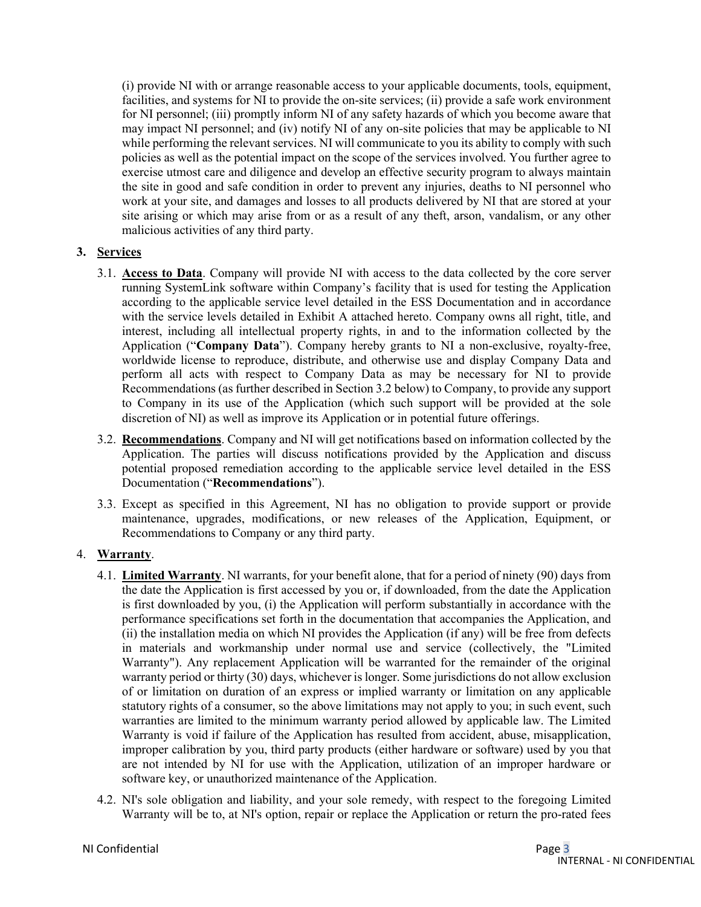(i) provide NI with or arrange reasonable access to your applicable documents, tools, equipment, facilities, and systems for NI to provide the on-site services; (ii) provide a safe work environment for NI personnel; (iii) promptly inform NI of any safety hazards of which you become aware that may impact NI personnel; and (iv) notify NI of any on-site policies that may be applicable to NI while performing the relevant services. NI will communicate to you its ability to comply with such policies as well as the potential impact on the scope of the services involved. You further agree to exercise utmost care and diligence and develop an effective security program to always maintain the site in good and safe condition in order to prevent any injuries, deaths to NI personnel who work at your site, and damages and losses to all products delivered by NI that are stored at your site arising or which may arise from or as a result of any theft, arson, vandalism, or any other malicious activities of any third party.

## **3. Services**

- 3.1. **Access to Data**. Company will provide NI with access to the data collected by the core server running SystemLink software within Company's facility that is used for testing the Application according to the applicable service level detailed in the ESS Documentation and in accordance with the service levels detailed in Exhibit A attached hereto. Company owns all right, title, and interest, including all intellectual property rights, in and to the information collected by the Application ("**Company Data**"). Company hereby grants to NI a non-exclusive, royalty-free, worldwide license to reproduce, distribute, and otherwise use and display Company Data and perform all acts with respect to Company Data as may be necessary for NI to provide Recommendations (as further described in Sectio[n 3.2](#page-2-0) below) to Company, to provide any support to Company in its use of the Application (which such support will be provided at the sole discretion of NI) as well as improve its Application or in potential future offerings.
- <span id="page-2-0"></span>3.2. **Recommendations**. Company and NI will get notifications based on information collected by the Application. The parties will discuss notifications provided by the Application and discuss potential proposed remediation according to the applicable service level detailed in the ESS Documentation ("**Recommendations**").
- 3.3. Except as specified in this Agreement, NI has no obligation to provide support or provide maintenance, upgrades, modifications, or new releases of the Application, Equipment, or Recommendations to Company or any third party.

# 4. **Warranty**.

- 4.1. **Limited Warranty**. NI warrants, for your benefit alone, that for a period of ninety (90) days from the date the Application is first accessed by you or, if downloaded, from the date the Application is first downloaded by you, (i) the Application will perform substantially in accordance with the performance specifications set forth in the documentation that accompanies the Application, and (ii) the installation media on which NI provides the Application (if any) will be free from defects in materials and workmanship under normal use and service (collectively, the "Limited Warranty"). Any replacement Application will be warranted for the remainder of the original warranty period or thirty (30) days, whichever is longer. Some jurisdictions do not allow exclusion of or limitation on duration of an express or implied warranty or limitation on any applicable statutory rights of a consumer, so the above limitations may not apply to you; in such event, such warranties are limited to the minimum warranty period allowed by applicable law. The Limited Warranty is void if failure of the Application has resulted from accident, abuse, misapplication, improper calibration by you, third party products (either hardware or software) used by you that are not intended by NI for use with the Application, utilization of an improper hardware or software key, or unauthorized maintenance of the Application.
- 4.2. NI's sole obligation and liability, and your sole remedy, with respect to the foregoing Limited Warranty will be to, at NI's option, repair or replace the Application or return the pro-rated fees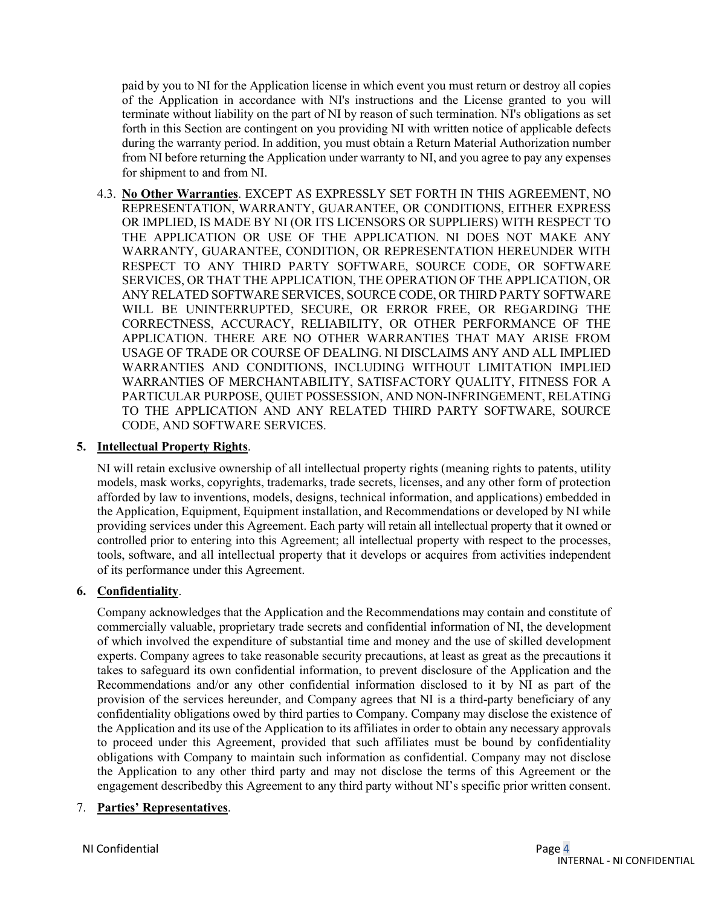paid by you to NI for the Application license in which event you must return or destroy all copies of the Application in accordance with NI's instructions and the License granted to you will terminate without liability on the part of NI by reason of such termination. NI's obligations as set forth in this Section are contingent on you providing NI with written notice of applicable defects during the warranty period. In addition, you must obtain a Return Material Authorization number from NI before returning the Application under warranty to NI, and you agree to pay any expenses for shipment to and from NI.

4.3. **No Other Warranties**. EXCEPT AS EXPRESSLY SET FORTH IN THIS AGREEMENT, NO REPRESENTATION, WARRANTY, GUARANTEE, OR CONDITIONS, EITHER EXPRESS OR IMPLIED, IS MADE BY NI (OR ITS LICENSORS OR SUPPLIERS) WITH RESPECT TO THE APPLICATION OR USE OF THE APPLICATION. NI DOES NOT MAKE ANY WARRANTY, GUARANTEE, CONDITION, OR REPRESENTATION HEREUNDER WITH RESPECT TO ANY THIRD PARTY SOFTWARE, SOURCE CODE, OR SOFTWARE SERVICES, OR THAT THE APPLICATION, THE OPERATION OF THE APPLICATION, OR ANY RELATED SOFTWARE SERVICES, SOURCE CODE, OR THIRD PARTY SOFTWARE WILL BE UNINTERRUPTED, SECURE, OR ERROR FREE, OR REGARDING THE CORRECTNESS, ACCURACY, RELIABILITY, OR OTHER PERFORMANCE OF THE APPLICATION. THERE ARE NO OTHER WARRANTIES THAT MAY ARISE FROM USAGE OF TRADE OR COURSE OF DEALING. NI DISCLAIMS ANY AND ALL IMPLIED WARRANTIES AND CONDITIONS, INCLUDING WITHOUT LIMITATION IMPLIED WARRANTIES OF MERCHANTABILITY, SATISFACTORY QUALITY, FITNESS FOR A PARTICULAR PURPOSE, QUIET POSSESSION, AND NON-INFRINGEMENT, RELATING TO THE APPLICATION AND ANY RELATED THIRD PARTY SOFTWARE, SOURCE CODE, AND SOFTWARE SERVICES.

### **5. Intellectual Property Rights**.

NI will retain exclusive ownership of all intellectual property rights (meaning rights to patents, utility models, mask works, copyrights, trademarks, trade secrets, licenses, and any other form of protection afforded by law to inventions, models, designs, technical information, and applications) embedded in the Application, Equipment, Equipment installation, and Recommendations or developed by NI while providing services under this Agreement. Each party will retain all intellectual property that it owned or controlled prior to entering into this Agreement; all intellectual property with respect to the processes, tools, software, and all intellectual property that it develops or acquires from activities independent of its performance under this Agreement.

### **6. Confidentiality**.

Company acknowledges that the Application and the Recommendations may contain and constitute of commercially valuable, proprietary trade secrets and confidential information of NI, the development of which involved the expenditure of substantial time and money and the use of skilled development experts. Company agrees to take reasonable security precautions, at least as great as the precautions it takes to safeguard its own confidential information, to prevent disclosure of the Application and the Recommendations and/or any other confidential information disclosed to it by NI as part of the provision of the services hereunder, and Company agrees that NI is a third-party beneficiary of any confidentiality obligations owed by third parties to Company. Company may disclose the existence of the Application and its use of the Application to its affiliates in order to obtain any necessary approvals to proceed under this Agreement, provided that such affiliates must be bound by confidentiality obligations with Company to maintain such information as confidential. Company may not disclose the Application to any other third party and may not disclose the terms of this Agreement or the engagement described by this Agreement to any third party without NI's specific prior written consent.

### 7. **Parties' Representatives**.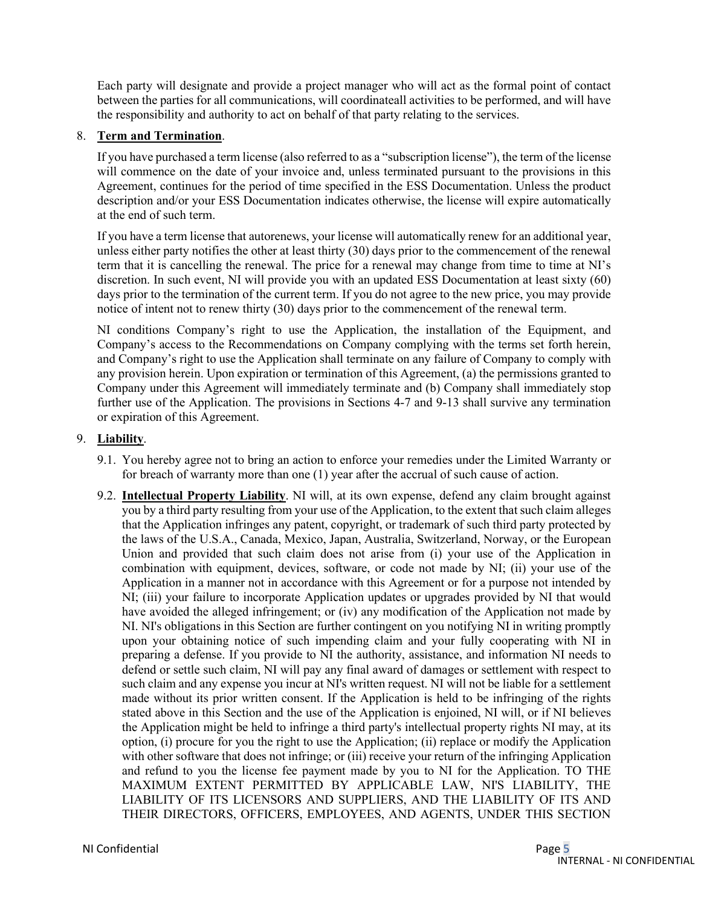Each party will designate and provide a project manager who will act as the formal point of contact between the parties for all communications, will coordinateall activities to be performed, and will have the responsibility and authority to act on behalf of that party relating to the services.

### 8. **Term and Termination**.

If you have purchased a term license (also referred to as a "subscription license"), the term of the license will commence on the date of your invoice and, unless terminated pursuant to the provisions in this Agreement, continues for the period of time specified in the ESS Documentation. Unless the product description and/or your ESS Documentation indicates otherwise, the license will expire automatically at the end of such term.

If you have a term license that autorenews, your license will automatically renew for an additional year, unless either party notifies the other at least thirty (30) days prior to the commencement of the renewal term that it is cancelling the renewal. The price for a renewal may change from time to time at NI's discretion. In such event, NI will provide you with an updated ESS Documentation at least sixty (60) days prior to the termination of the current term. If you do not agree to the new price, you may provide notice of intent not to renew thirty (30) days prior to the commencement of the renewal term.

NI conditions Company's right to use the Application, the installation of the Equipment, and Company's access to the Recommendations on Company complying with the terms set forth herein, and Company's right to use the Application shall terminate on any failure of Company to comply with any provision herein. Upon expiration or termination of this Agreement, (a) the permissions granted to Company under this Agreement will immediately terminate and (b) Company shall immediately stop further use of the Application. The provisions in Sections 4-7 and 9-13 shall survive any termination or expiration of this Agreement.

### 9. **Liability**.

- 9.1. You hereby agree not to bring an action to enforce your remedies under the Limited Warranty or for breach of warranty more than one (1) year after the accrual of such cause of action.
- <span id="page-4-0"></span>9.2. **Intellectual Property Liability**. NI will, at its own expense, defend any claim brought against you by a third party resulting from your use of the Application, to the extent that such claim alleges that the Application infringes any patent, copyright, or trademark of such third party protected by the laws of the U.S.A., Canada, Mexico, Japan, Australia, Switzerland, Norway, or the European Union and provided that such claim does not arise from (i) your use of the Application in combination with equipment, devices, software, or code not made by NI; (ii) your use of the Application in a manner not in accordance with this Agreement or for a purpose not intended by NI; (iii) your failure to incorporate Application updates or upgrades provided by NI that would have avoided the alleged infringement; or (iv) any modification of the Application not made by NI. NI's obligations in this Section are further contingent on you notifying NI in writing promptly upon your obtaining notice of such impending claim and your fully cooperating with NI in preparing a defense. If you provide to NI the authority, assistance, and information NI needs to defend or settle such claim, NI will pay any final award of damages or settlement with respect to such claim and any expense you incur at NI's written request. NI will not be liable for a settlement made without its prior written consent. If the Application is held to be infringing of the rights stated above in this Section and the use of the Application is enjoined, NI will, or if NI believes the Application might be held to infringe a third party's intellectual property rights NI may, at its option, (i) procure for you the right to use the Application; (ii) replace or modify the Application with other software that does not infringe; or (iii) receive your return of the infringing Application and refund to you the license fee payment made by you to NI for the Application. TO THE MAXIMUM EXTENT PERMITTED BY APPLICABLE LAW, NI'S LIABILITY, THE LIABILITY OF ITS LICENSORS AND SUPPLIERS, AND THE LIABILITY OF ITS AND THEIR DIRECTORS, OFFICERS, EMPLOYEES, AND AGENTS, UNDER THIS SECTION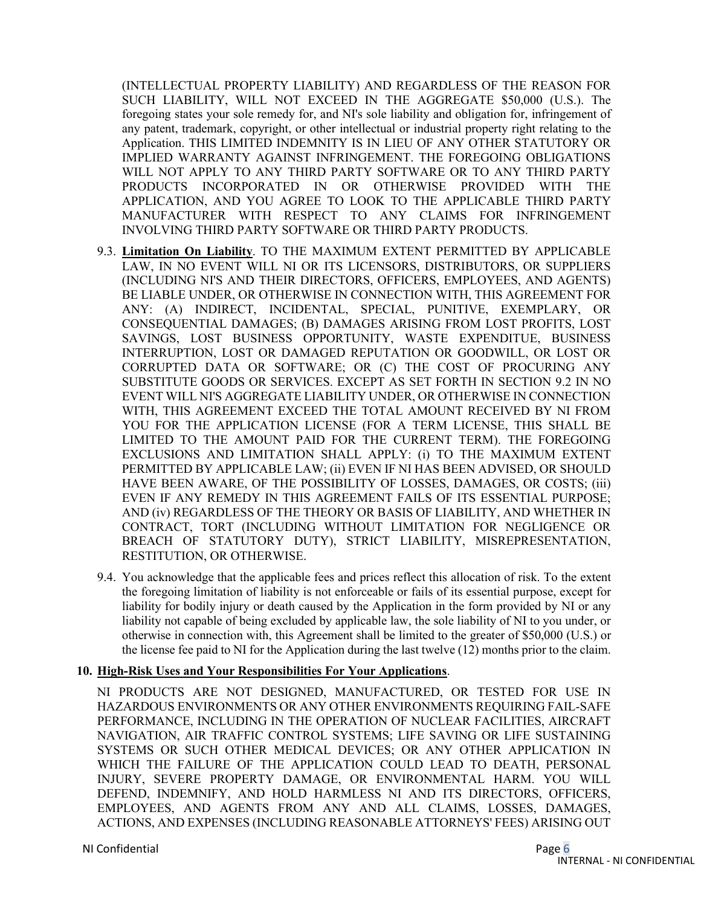(INTELLECTUAL PROPERTY LIABILITY) AND REGARDLESS OF THE REASON FOR SUCH LIABILITY, WILL NOT EXCEED IN THE AGGREGATE \$50,000 (U.S.). The foregoing states your sole remedy for, and NI's sole liability and obligation for, infringement of any patent, trademark, copyright, or other intellectual or industrial property right relating to the Application. THIS LIMITED INDEMNITY IS IN LIEU OF ANY OTHER STATUTORY OR IMPLIED WARRANTY AGAINST INFRINGEMENT. THE FOREGOING OBLIGATIONS WILL NOT APPLY TO ANY THIRD PARTY SOFTWARE OR TO ANY THIRD PARTY PRODUCTS INCORPORATED IN OR OTHERWISE PROVIDED WITH THE APPLICATION, AND YOU AGREE TO LOOK TO THE APPLICABLE THIRD PARTY MANUFACTURER WITH RESPECT TO ANY CLAIMS FOR INFRINGEMENT INVOLVING THIRD PARTY SOFTWARE OR THIRD PARTY PRODUCTS.

- 9.3. **Limitation On Liability**. TO THE MAXIMUM EXTENT PERMITTED BY APPLICABLE LAW, IN NO EVENT WILL NI OR ITS LICENSORS, DISTRIBUTORS, OR SUPPLIERS (INCLUDING NI'S AND THEIR DIRECTORS, OFFICERS, EMPLOYEES, AND AGENTS) BE LIABLE UNDER, OR OTHERWISE IN CONNECTION WITH, THIS AGREEMENT FOR ANY: (A) INDIRECT, INCIDENTAL, SPECIAL, PUNITIVE, EXEMPLARY, OR CONSEQUENTIAL DAMAGES; (B) DAMAGES ARISING FROM LOST PROFITS, LOST SAVINGS, LOST BUSINESS OPPORTUNITY, WASTE EXPENDITUE, BUSINESS INTERRUPTION, LOST OR DAMAGED REPUTATION OR GOODWILL, OR LOST OR CORRUPTED DATA OR SOFTWARE; OR (C) THE COST OF PROCURING ANY SUBSTITUTE GOODS OR SERVICES. EXCEPT AS SET FORTH IN SECTION [9.2](#page-4-0) IN NO EVENT WILL NI'S AGGREGATE LIABILITY UNDER, OR OTHERWISE IN CONNECTION WITH, THIS AGREEMENT EXCEED THE TOTAL AMOUNT RECEIVED BY NI FROM YOU FOR THE APPLICATION LICENSE (FOR A TERM LICENSE, THIS SHALL BE LIMITED TO THE AMOUNT PAID FOR THE CURRENT TERM). THE FOREGOING EXCLUSIONS AND LIMITATION SHALL APPLY: (i) TO THE MAXIMUM EXTENT PERMITTED BY APPLICABLE LAW; (ii) EVEN IF NI HAS BEEN ADVISED, OR SHOULD HAVE BEEN AWARE, OF THE POSSIBILITY OF LOSSES, DAMAGES, OR COSTS; (iii) EVEN IF ANY REMEDY IN THIS AGREEMENT FAILS OF ITS ESSENTIAL PURPOSE; AND (iv) REGARDLESS OF THE THEORY OR BASIS OF LIABILITY, AND WHETHER IN CONTRACT, TORT (INCLUDING WITHOUT LIMITATION FOR NEGLIGENCE OR BREACH OF STATUTORY DUTY), STRICT LIABILITY, MISREPRESENTATION, RESTITUTION, OR OTHERWISE.
- 9.4. You acknowledge that the applicable fees and prices reflect this allocation of risk. To the extent the foregoing limitation of liability is not enforceable or fails of its essential purpose, except for liability for bodily injury or death caused by the Application in the form provided by NI or any liability not capable of being excluded by applicable law, the sole liability of NI to you under, or otherwise in connection with, this Agreement shall be limited to the greater of \$50,000 (U.S.) or the license fee paid to NI for the Application during the last twelve (12) months prior to the claim.

### **10. High-Risk Uses and Your Responsibilities For Your Applications**.

NI PRODUCTS ARE NOT DESIGNED, MANUFACTURED, OR TESTED FOR USE IN HAZARDOUS ENVIRONMENTS OR ANY OTHER ENVIRONMENTS REQUIRING FAIL-SAFE PERFORMANCE, INCLUDING IN THE OPERATION OF NUCLEAR FACILITIES, AIRCRAFT NAVIGATION, AIR TRAFFIC CONTROL SYSTEMS; LIFE SAVING OR LIFE SUSTAINING SYSTEMS OR SUCH OTHER MEDICAL DEVICES; OR ANY OTHER APPLICATION IN WHICH THE FAILURE OF THE APPLICATION COULD LEAD TO DEATH, PERSONAL INJURY, SEVERE PROPERTY DAMAGE, OR ENVIRONMENTAL HARM. YOU WILL DEFEND, INDEMNIFY, AND HOLD HARMLESS NI AND ITS DIRECTORS, OFFICERS, EMPLOYEES, AND AGENTS FROM ANY AND ALL CLAIMS, LOSSES, DAMAGES, ACTIONS, AND EXPENSES (INCLUDING REASONABLE ATTORNEYS' FEES) ARISING OUT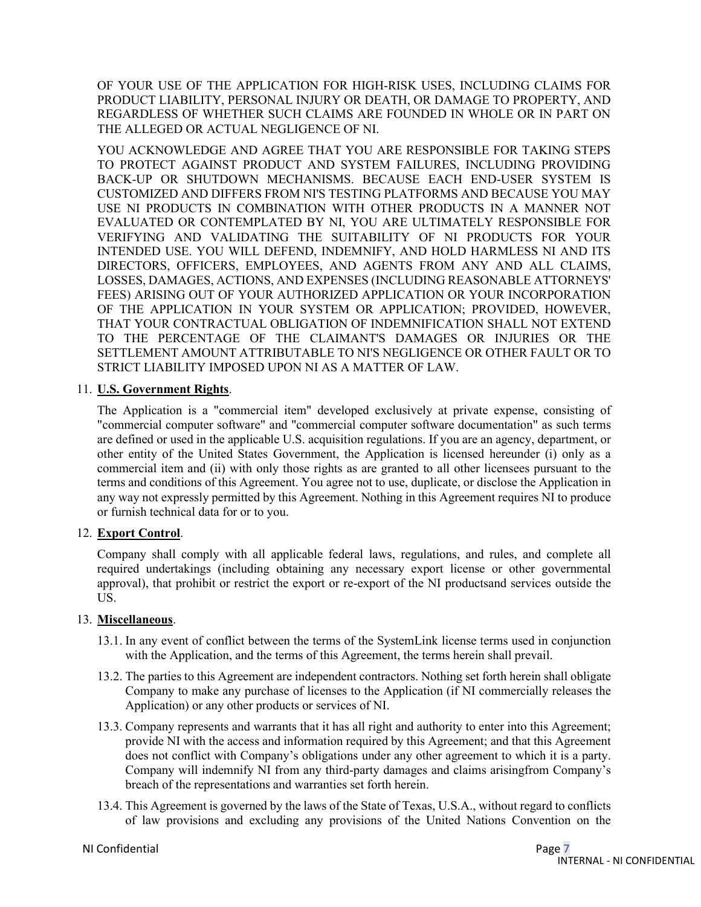OF YOUR USE OF THE APPLICATION FOR HIGH-RISK USES, INCLUDING CLAIMS FOR PRODUCT LIABILITY, PERSONAL INJURY OR DEATH, OR DAMAGE TO PROPERTY, AND REGARDLESS OF WHETHER SUCH CLAIMS ARE FOUNDED IN WHOLE OR IN PART ON THE ALLEGED OR ACTUAL NEGLIGENCE OF NI.

YOU ACKNOWLEDGE AND AGREE THAT YOU ARE RESPONSIBLE FOR TAKING STEPS TO PROTECT AGAINST PRODUCT AND SYSTEM FAILURES, INCLUDING PROVIDING BACK-UP OR SHUTDOWN MECHANISMS. BECAUSE EACH END-USER SYSTEM IS CUSTOMIZED AND DIFFERS FROM NI'S TESTING PLATFORMS AND BECAUSE YOU MAY USE NI PRODUCTS IN COMBINATION WITH OTHER PRODUCTS IN A MANNER NOT EVALUATED OR CONTEMPLATED BY NI, YOU ARE ULTIMATELY RESPONSIBLE FOR VERIFYING AND VALIDATING THE SUITABILITY OF NI PRODUCTS FOR YOUR INTENDED USE. YOU WILL DEFEND, INDEMNIFY, AND HOLD HARMLESS NI AND ITS DIRECTORS, OFFICERS, EMPLOYEES, AND AGENTS FROM ANY AND ALL CLAIMS, LOSSES, DAMAGES, ACTIONS, AND EXPENSES (INCLUDING REASONABLE ATTORNEYS' FEES) ARISING OUT OF YOUR AUTHORIZED APPLICATION OR YOUR INCORPORATION OF THE APPLICATION IN YOUR SYSTEM OR APPLICATION; PROVIDED, HOWEVER, THAT YOUR CONTRACTUAL OBLIGATION OF INDEMNIFICATION SHALL NOT EXTEND TO THE PERCENTAGE OF THE CLAIMANT'S DAMAGES OR INJURIES OR THE SETTLEMENT AMOUNT ATTRIBUTABLE TO NI'S NEGLIGENCE OR OTHER FAULT OR TO STRICT LIABILITY IMPOSED UPON NI AS A MATTER OF LAW.

### 11. **U.S. Government Rights**.

The Application is a "commercial item" developed exclusively at private expense, consisting of "commercial computer software" and "commercial computer software documentation" as such terms are defined or used in the applicable U.S. acquisition regulations. If you are an agency, department, or other entity of the United States Government, the Application is licensed hereunder (i) only as a commercial item and (ii) with only those rights as are granted to all other licensees pursuant to the terms and conditions of this Agreement. You agree not to use, duplicate, or disclose the Application in any way not expressly permitted by this Agreement. Nothing in this Agreement requires NI to produce or furnish technical data for or to you.

## 12. **Export Control**.

Company shall comply with all applicable federal laws, regulations, and rules, and complete all required undertakings (including obtaining any necessary export license or other governmental approval), that prohibit or restrict the export or re-export of the NI products and services outside the US.

### 13. **Miscellaneous**.

- 13.1. In any event of conflict between the terms of the SystemLink license terms used in conjunction with the Application, and the terms of this Agreement, the terms herein shall prevail.
- 13.2. The parties to this Agreement are independent contractors. Nothing set forth herein shall obligate Company to make any purchase of licenses to the Application (if NI commercially releases the Application) or any other products or services of NI.
- 13.3. Company represents and warrants that it has all right and authority to enter into this Agreement; provide NI with the access and information required by this Agreement; and that this Agreement does not conflict with Company's obligations under any other agreement to which it is a party. Company will indemnify NI from any third-party damages and claims arisingfrom Company's breach of the representations and warranties set forth herein.
- 13.4. This Agreement is governed by the laws of the State of Texas, U.S.A., without regard to conflicts of law provisions and excluding any provisions of the United Nations Convention on the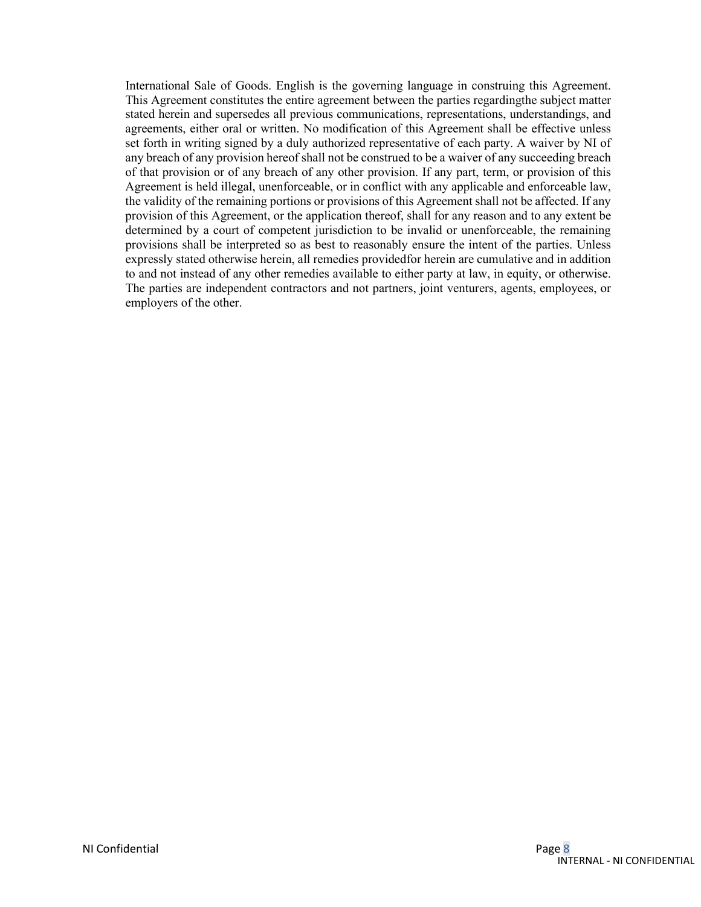International Sale of Goods. English is the governing language in construing this Agreement. This Agreement constitutes the entire agreement between the parties regardingthe subject matter stated herein and supersedes all previous communications, representations, understandings, and agreements, either oral or written. No modification of this Agreement shall be effective unless set forth in writing signed by a duly authorized representative of each party. A waiver by NI of any breach of any provision hereof shall not be construed to be a waiver of any succeeding breach of that provision or of any breach of any other provision. If any part, term, or provision of this Agreement is held illegal, unenforceable, or in conflict with any applicable and enforceable law, the validity of the remaining portions or provisions of this Agreement shall not be affected. If any provision of this Agreement, or the application thereof, shall for any reason and to any extent be determined by a court of competent jurisdiction to be invalid or unenforceable, the remaining provisions shall be interpreted so as best to reasonably ensure the intent of the parties. Unless expressly stated otherwise herein, all remedies providedfor herein are cumulative and in addition to and not instead of any other remedies available to either party at law, in equity, or otherwise. The parties are independent contractors and not partners, joint venturers, agents, employees, or employers of the other.